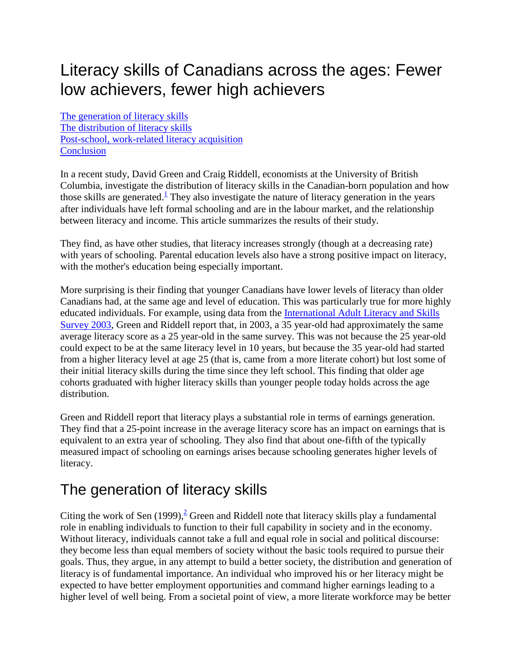# Literacy skills of Canadians across the ages: Fewer low achievers, fewer high achievers

The generation of literacy skills [The distribution of literacy skills](#page-1-0) [Post-school, work-related literacy acquisition](#page-2-0) **[Conclusion](#page-3-0)** 

In a recent study, David Green and Craig Riddell, economists at the University of British Columbia, investigate the distribution of literacy skills in the Canadian-born population and how those skills are generated.<sup> $\perp$ </sup> They also investigate the nature of literacy generation in the years after individuals have left formal schooling and are in the labour market, and the relationship between literacy and income. This article summarizes the results of their study.

They find, as have other studies, that literacy increases strongly (though at a decreasing rate) with years of schooling. Parental education levels also have a strong positive impact on literacy, with the mother's education being especially important.

More surprising is their finding that younger Canadians have lower levels of literacy than older Canadians had, at the same age and level of education. This was particularly true for more highly educated individuals. For example, using data from the [International Adult Literacy and Skills](http://www.statcan.gc.ca/imdb-bmdi/4406-eng.htm)  [Survey 2003,](http://www.statcan.gc.ca/imdb-bmdi/4406-eng.htm) Green and Riddell report that, in 2003, a 35 year-old had approximately the same average literacy score as a 25 year-old in the same survey. This was not because the 25 year-old could expect to be at the same literacy level in 10 years, but because the 35 year-old had started from a higher literacy level at age 25 (that is, came from a more literate cohort) but lost some of their initial literacy skills during the time since they left school. This finding that older age cohorts graduated with higher literacy skills than younger people today holds across the age distribution.

Green and Riddell report that literacy plays a substantial role in terms of earnings generation. They find that a 25-point increase in the average literacy score has an impact on earnings that is equivalent to an extra year of schooling. They also find that about one-fifth of the typically measured impact of schooling on earnings arises because schooling generates higher levels of literacy.

## The generation of literacy skills

Citing the work of Sen  $(1999)$ ,<sup>2</sup> Green and Riddell note that literacy skills play a fundamental role in enabling individuals to function to their full capability in society and in the economy. Without literacy, individuals cannot take a full and equal role in social and political discourse: they become less than equal members of society without the basic tools required to pursue their goals. Thus, they argue, in any attempt to build a better society, the distribution and generation of literacy is of fundamental importance. An individual who improved his or her literacy might be expected to have better employment opportunities and command higher earnings leading to a higher level of well being. From a societal point of view, a more literate workforce may be better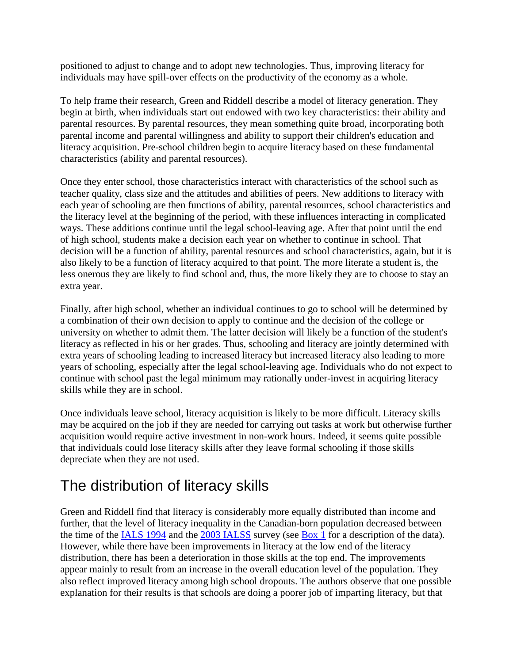<span id="page-1-0"></span>positioned to adjust to change and to adopt new technologies. Thus, improving literacy for individuals may have spill-over effects on the productivity of the economy as a whole.

To help frame their research, Green and Riddell describe a model of literacy generation. They begin at birth, when individuals start out endowed with two key characteristics: their ability and parental resources. By parental resources, they mean something quite broad, incorporating both parental income and parental willingness and ability to support their children's education and literacy acquisition. Pre-school children begin to acquire literacy based on these fundamental characteristics (ability and parental resources).

Once they enter school, those characteristics interact with characteristics of the school such as teacher quality, class size and the attitudes and abilities of peers. New additions to literacy with each year of schooling are then functions of ability, parental resources, school characteristics and the literacy level at the beginning of the period, with these influences interacting in complicated ways. These additions continue until the legal school-leaving age. After that point until the end of high school, students make a decision each year on whether to continue in school. That decision will be a function of ability, parental resources and school characteristics, again, but it is also likely to be a function of literacy acquired to that point. The more literate a student is, the less onerous they are likely to find school and, thus, the more likely they are to choose to stay an extra year.

Finally, after high school, whether an individual continues to go to school will be determined by a combination of their own decision to apply to continue and the decision of the college or university on whether to admit them. The latter decision will likely be a function of the student's literacy as reflected in his or her grades. Thus, schooling and literacy are jointly determined with extra years of schooling leading to increased literacy but increased literacy also leading to more years of schooling, especially after the legal school-leaving age. Individuals who do not expect to continue with school past the legal minimum may rationally under-invest in acquiring literacy skills while they are in school.

Once individuals leave school, literacy acquisition is likely to be more difficult. Literacy skills may be acquired on the job if they are needed for carrying out tasks at work but otherwise further acquisition would require active investment in non-work hours. Indeed, it seems quite possible that individuals could lose literacy skills after they leave formal schooling if those skills depreciate when they are not used.

## The distribution of literacy skills

Green and Riddell find that literacy is considerably more equally distributed than income and further, that the level of literacy inequality in the Canadian-born population decreased between the time of the [IALS 1994](http://www.statcan.gc.ca/cgi-bin/imdb/p2SV.pl?Function=getSurvey&SurvId=4406&SurvVer=0&InstaId=15966&InstaVer=1&SDDS=4406&lang=en&db=imdb&dbg=f&adm=8&dis=2) and the [2003 IALSS](http://www.statcan.gc.ca/imdb-bmdi/4406-eng.htm) survey (see [Box 1](#page-2-0) for a description of the data). However, while there have been improvements in literacy at the low end of the literacy distribution, there has been a deterioration in those skills at the top end. The improvements appear mainly to result from an increase in the overall education level of the population. They also reflect improved literacy among high school dropouts. The authors observe that one possible explanation for their results is that schools are doing a poorer job of imparting literacy, but that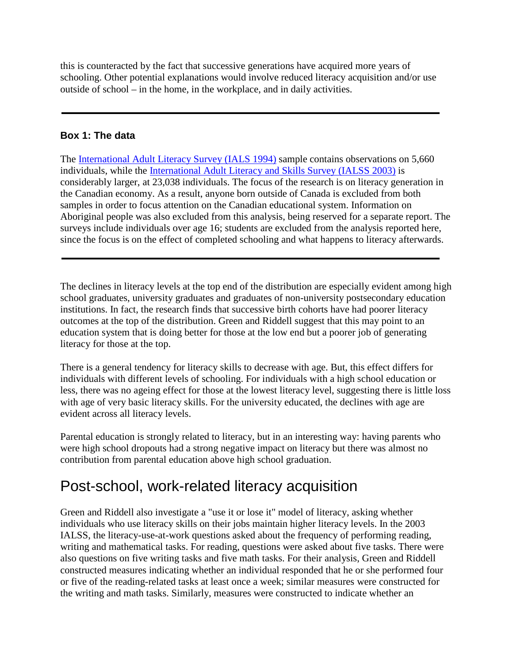<span id="page-2-0"></span>this is counteracted by the fact that successive generations have acquired more years of schooling. Other potential explanations would involve reduced literacy acquisition and/or use outside of school – in the home, in the workplace, and in daily activities.

#### **Box 1: The data**

The [International Adult Literacy Survey \(IALS 1994\)](http://www.statcan.gc.ca/cgi-bin/imdb/p2SV.pl?Function=getSurvey&SurvId=4406&SurvVer=0&InstaId=15966&InstaVer=1&SDDS=4406&lang=en&db=imdb&dbg=f&adm=8&dis=2) sample contains observations on 5,660 individuals, while the [International Adult Literacy and Skills Survey \(IALSS 2003\)](http://www.statcan.gc.ca/imdb-bmdi/4406-eng.htm) is considerably larger, at 23,038 individuals. The focus of the research is on literacy generation in the Canadian economy. As a result, anyone born outside of Canada is excluded from both samples in order to focus attention on the Canadian educational system. Information on Aboriginal people was also excluded from this analysis, being reserved for a separate report. The surveys include individuals over age 16; students are excluded from the analysis reported here, since the focus is on the effect of completed schooling and what happens to literacy afterwards.

The declines in literacy levels at the top end of the distribution are especially evident among high school graduates, university graduates and graduates of non-university postsecondary education institutions. In fact, the research finds that successive birth cohorts have had poorer literacy outcomes at the top of the distribution. Green and Riddell suggest that this may point to an education system that is doing better for those at the low end but a poorer job of generating literacy for those at the top.

There is a general tendency for literacy skills to decrease with age. But, this effect differs for individuals with different levels of schooling. For individuals with a high school education or less, there was no ageing effect for those at the lowest literacy level, suggesting there is little loss with age of very basic literacy skills. For the university educated, the declines with age are evident across all literacy levels.

Parental education is strongly related to literacy, but in an interesting way: having parents who were high school dropouts had a strong negative impact on literacy but there was almost no contribution from parental education above high school graduation.

## Post-school, work-related literacy acquisition

Green and Riddell also investigate a "use it or lose it" model of literacy, asking whether individuals who use literacy skills on their jobs maintain higher literacy levels. In the 2003 IALSS, the literacy-use-at-work questions asked about the frequency of performing reading, writing and mathematical tasks. For reading, questions were asked about five tasks. There were also questions on five writing tasks and five math tasks. For their analysis, Green and Riddell constructed measures indicating whether an individual responded that he or she performed four or five of the reading-related tasks at least once a week; similar measures were constructed for the writing and math tasks. Similarly, measures were constructed to indicate whether an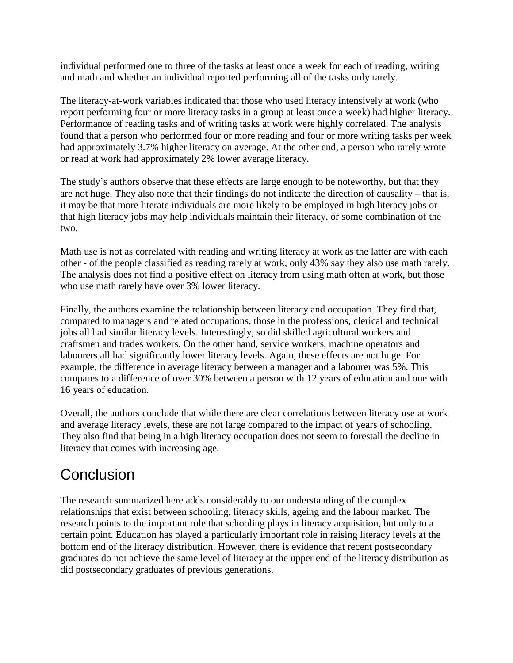<span id="page-3-0"></span>individual performed one to three of the tasks at least once a week for each of reading, writing and math and whether an individual reported performing all of the tasks only rarely.

The literacy-at-work variables indicated that those who used literacy intensively at work (who report performing four or more literacy tasks in a group at least once a week) had higher literacy. Performance of reading tasks and of writing tasks at work were highly correlated. The analysis found that a person who performed four or more reading and four or more writing tasks per week had approximately 3.7% higher literacy on average. At the other end, a person who rarely wrote or read at work had approximately 2% lower average literacy.

The study's authors observe that these effects are large enough to be noteworthy, but that they are not huge. They also note that their findings do not indicate the direction of causality – that is, it may be that more literate individuals are more likely to be employed in high literacy jobs or that high literacy jobs may help individuals maintain their literacy, or some combination of the two.

Math use is not as correlated with reading and writing literacy at work as the latter are with each other - of the people classified as reading rarely at work, only 43% say they also use math rarely. The analysis does not find a positive effect on literacy from using math often at work, but those who use math rarely have over 3% lower literacy.

Finally, the authors examine the relationship between literacy and occupation. They find that, compared to managers and related occupations, those in the professions, clerical and technical jobs all had similar literacy levels. Interestingly, so did skilled agricultural workers and craftsmen and trades workers. On the other hand, service workers, machine operators and labourers all had significantly lower literacy levels. Again, these effects are not huge. For example, the difference in average literacy between a manager and a labourer was 5%. This compares to a difference of over 30% between a person with 12 years of education and one with 16 years of education.

Overall, the authors conclude that while there are clear correlations between literacy use at work and average literacy levels, these are not large compared to the impact of years of schooling. They also find that being in a high literacy occupation does not seem to forestall the decline in literacy that comes with increasing age.

# **Conclusion**

The research summarized here adds considerably to our understanding of the complex relationships that exist between schooling, literacy skills, ageing and the labour market. The research points to the important role that schooling plays in literacy acquisition, but only to a certain point. Education has played a particularly important role in raising literacy levels at the bottom end of the literacy distribution. However, there is evidence that recent postsecondary graduates do not achieve the same level of literacy at the upper end of the literacy distribution as did postsecondary graduates of previous generations.